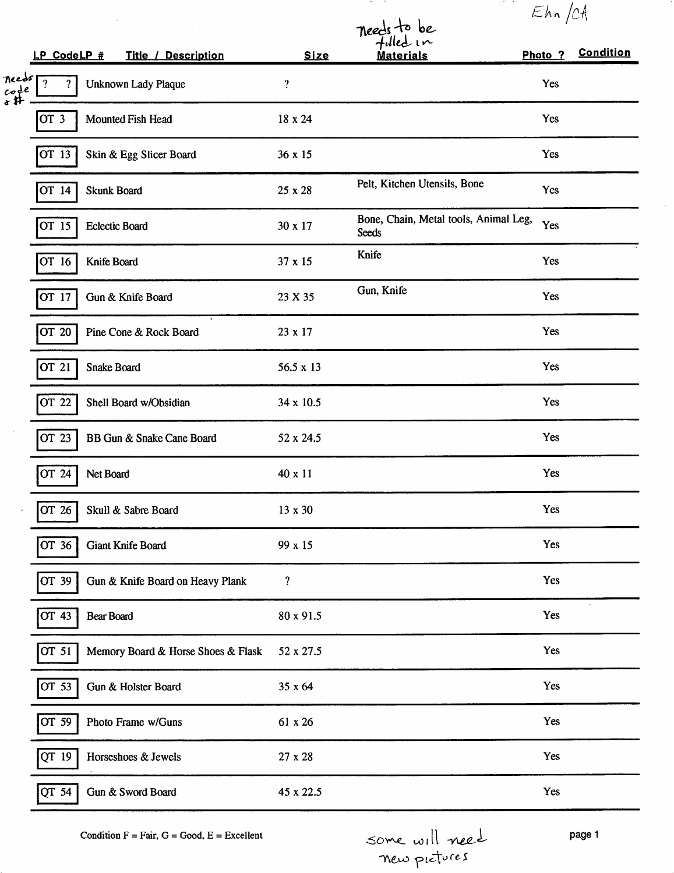|                                           |                       |                                    |                            |                                                       | Ehn/CH             |                  |
|-------------------------------------------|-----------------------|------------------------------------|----------------------------|-------------------------------------------------------|--------------------|------------------|
|                                           |                       |                                    |                            | needs to be<br>fulled in                              |                    |                  |
|                                           | LP CodeLP #           | <b>Title / Description</b>         | <b>Size</b>                | <b>Materials</b>                                      | Photo <sub>?</sub> | <b>Condition</b> |
| needs<br>$c$ <sub>o</sub> $\frac{1}{4}$ e | $\boldsymbol{\gamma}$ | Unknown Lady Plaque                | $\boldsymbol{\mathcal{P}}$ |                                                       | Yes                |                  |
|                                           | OT <sub>3</sub>       | Mounted Fish Head                  | 18 x 24                    |                                                       | Yes                |                  |
|                                           | OT 13                 | Skin & Egg Slicer Board            | 36 x 15                    |                                                       | Yes                |                  |
|                                           | OT 14                 | <b>Skunk Board</b>                 | 25 x 28                    | Pelt, Kitchen Utensils, Bone                          | Yes                |                  |
|                                           | OT 15                 | <b>Eclectic Board</b>              | 30 x 17                    | Bone, Chain, Metal tools, Animal Leg,<br><b>Seeds</b> | Yes                |                  |
|                                           | OT 16                 | Knife Board                        | 37 x 15                    | Knife                                                 | Yes                |                  |
|                                           | OT 17                 | Gun & Knife Board                  | 23 X 35                    | Gun, Knife                                            | Yes                |                  |
|                                           | OT 20                 | Pine Cone & Rock Board             | 23 x 17                    |                                                       | Yes                |                  |
|                                           | OT 21                 | Snake Board                        | $56.5 \times 13$           |                                                       | Yes                |                  |
|                                           | OT 22                 | Shell Board w/Obsidian             | 34 x 10.5                  |                                                       | Yes                |                  |
|                                           | OT 23                 | BB Gun & Snake Cane Board          | 52 x 24.5                  |                                                       | Yes                |                  |
|                                           | OT 24                 | Net Board                          | 40 x 11                    |                                                       | Yes                |                  |
|                                           | OT 26                 | Skull & Sabre Board                | 13 x 30                    |                                                       | Yes                |                  |
|                                           | OT 36                 | Giant Knife Board                  | 99 x 15                    |                                                       | Yes                |                  |
|                                           | OT 39                 | Gun & Knife Board on Heavy Plank   | ?                          |                                                       | Yes                |                  |
|                                           | OT 43                 | Bear Board                         | 80 x 91.5                  |                                                       | Yes                |                  |
|                                           | OT 51                 | Memory Board & Horse Shoes & Flask | 52 x 27.5                  |                                                       | Yes                |                  |
|                                           | OT 53                 | Gun & Holster Board                | 35 x 64                    |                                                       | Yes                |                  |
|                                           | OT 59                 | Photo Frame w/Guns                 | 61 x 26                    |                                                       | Yes                |                  |
|                                           | QT 19                 | Horseshoes & Jewels                | 27 x 28                    |                                                       | Yes                |                  |
|                                           | $QT\overline{54}$     | Gun & Sword Board                  | 45 x 22.5                  |                                                       | Yes                |                  |

Condition F = Fair, G = Good, E = Excellent  $Some will need$  page 1<br>  $New policy (l$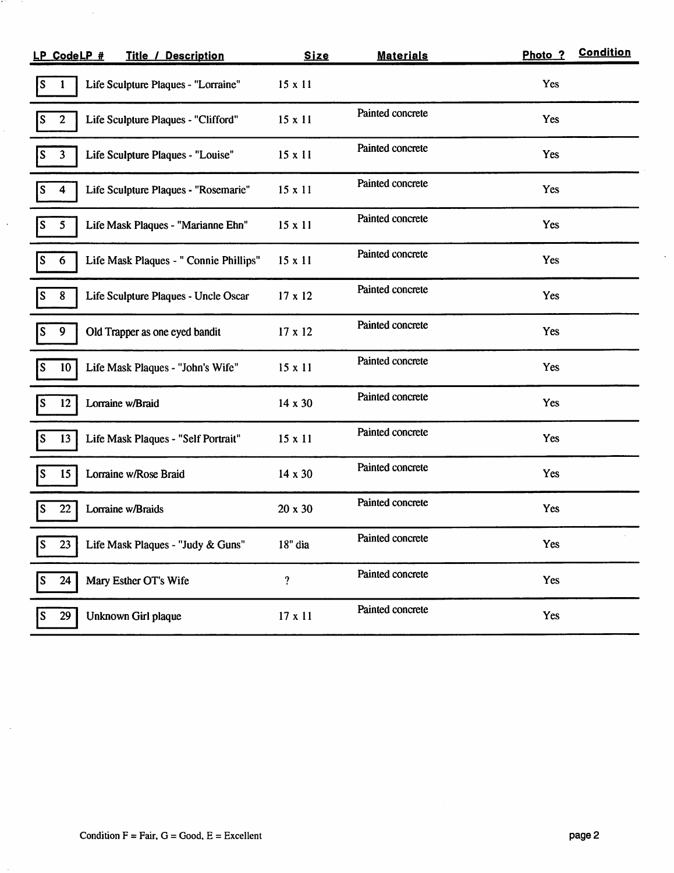| LP CodeLP #<br><b>Title / Description</b>                  | <b>Size</b>    | <b>Materials</b> | Photo ?    | <b>Condition</b> |
|------------------------------------------------------------|----------------|------------------|------------|------------------|
| Life Sculpture Plaques - "Lorraine"<br>S<br>1              | $15 \times 11$ |                  | Yes        |                  |
| $\overline{2}$<br>Life Sculpture Plaques - "Clifford"<br>S | $15 \times 11$ | Painted concrete | Yes        |                  |
| Life Sculpture Plaques - "Louise"<br>$\mathbf{3}$          | 15 x 11        | Painted concrete | Yes        |                  |
| Life Sculpture Plaques - "Rosemarie"<br>4                  | $15 \times 11$ | Painted concrete | Yes        |                  |
| 5<br>Life Mask Plaques - "Marianne Ehn"<br>S               | $15 \times 11$ | Painted concrete | <b>Yes</b> |                  |
| Life Mask Plaques - " Connie Phillips"<br>6                | 15 x 11        | Painted concrete | Yes        |                  |
| 8<br>Life Sculpture Plaques - Uncle Oscar                  | 17 x 12        | Painted concrete | Yes        |                  |
| 9<br>Old Trapper as one eyed bandit<br>S                   | 17 x 12        | Painted concrete | Yes        |                  |
| Life Mask Plaques - "John's Wife"<br>10 <sub>1</sub>       | 15 x 11        | Painted concrete | Yes        |                  |
| 12<br>Lorraine w/Braid                                     | 14 x 30        | Painted concrete | Yes        |                  |
| 13<br>Life Mask Plaques - "Self Portrait"<br>S             | $15 \times 11$ | Painted concrete | Yes        |                  |
| 15<br>Lorraine w/Rose Braid                                | 14 x 30        | Painted concrete | Yes        |                  |
| 22<br>Lorraine w/Braids                                    | 20 x 30        | Painted concrete | Yes        |                  |
| 23<br>Life Mask Plaques - "Judy & Guns'<br>P               | 18" dia        | Painted concrete | Yes        |                  |
| 24<br>S<br>Mary Esther OT's Wife                           | ?              | Painted concrete | Yes        |                  |
| 29<br>Unknown Girl plaque<br>S                             | 17 x 11        | Painted concrete | Yes        |                  |

 $\overline{a}$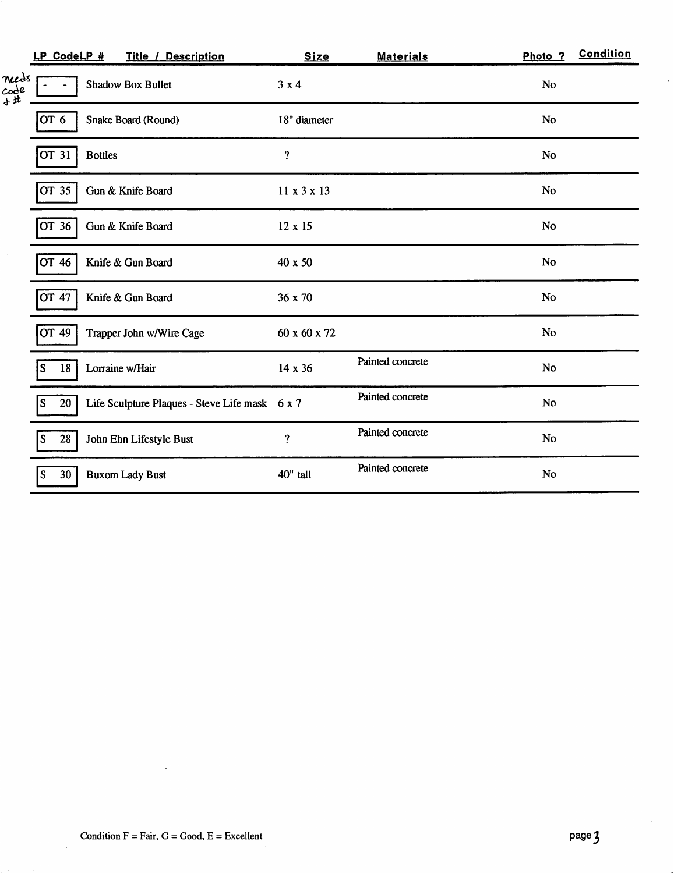|                      | LP CodeLP # |                | <b>Title / Description</b>                     | <b>Size</b>    | <b>Materials</b> | Photo <sub>?</sub> | <b>Condition</b> |
|----------------------|-------------|----------------|------------------------------------------------|----------------|------------------|--------------------|------------------|
| needs<br>code<br>+#. |             |                | <b>Shadow Box Bullet</b>                       | 3x4            |                  | No                 |                  |
|                      | OT 6        |                | Snake Board (Round)                            | 18" diameter   |                  | <b>No</b>          |                  |
|                      | OT 31       | <b>Bottles</b> |                                                | $\ddot{?}$     |                  | <b>No</b>          |                  |
|                      | OT 35       |                | Gun & Knife Board                              | 11 x 3 x 13    |                  | <b>No</b>          |                  |
|                      | OT 36       |                | Gun & Knife Board                              | $12 \times 15$ |                  | No                 |                  |
|                      | OT 46       |                | Knife & Gun Board                              | 40 x 50        |                  | <b>No</b>          |                  |
|                      | OT 47       |                | Knife & Gun Board                              | 36 x 70        |                  | <b>No</b>          |                  |
|                      | OT 49       |                | Trapper John w/Wire Cage                       | 60 x 60 x 72   |                  | No                 |                  |
|                      | 18<br>S     |                | Lorraine w/Hair                                | 14 x 36        | Painted concrete | <b>No</b>          |                  |
|                      | 20<br>lS    |                | Life Sculpture Plaques - Steve Life mask 6 x 7 |                | Painted concrete | N <sub>0</sub>     |                  |
|                      | 28<br>S     |                | John Ehn Lifestyle Bust                        | $\gamma$       | Painted concrete | <b>No</b>          |                  |
|                      | 30<br>'S    |                | <b>Buxom Lady Bust</b>                         | 40" tall       | Painted concrete | No                 |                  |

 $\sim$   $\sim$ 

 $\ddot{\phantom{a}}$